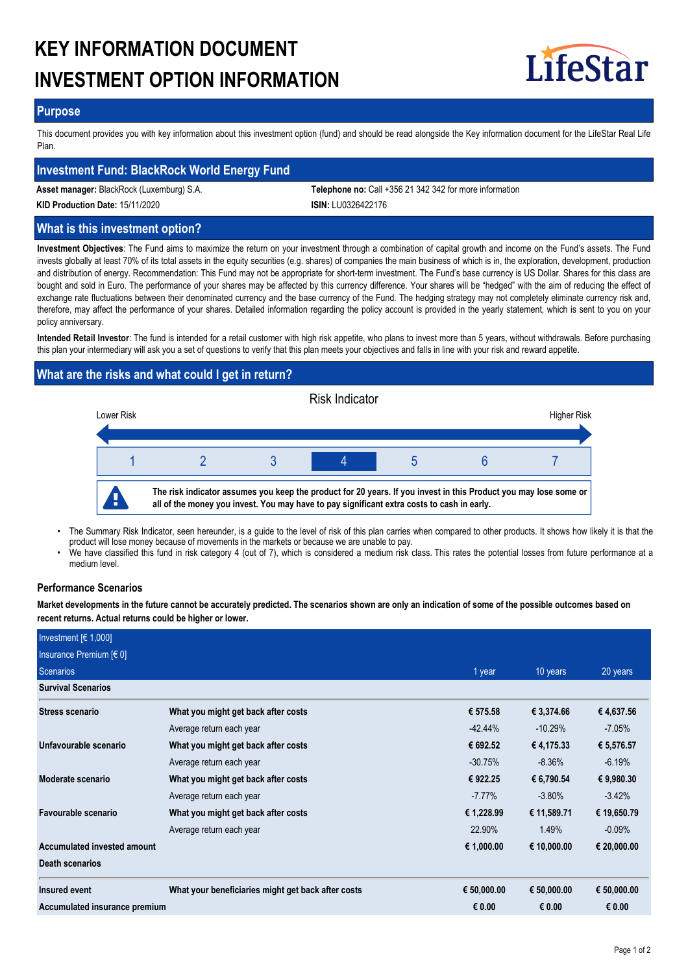# **KEY INFORMATION DOCUMENT INVESTMENT OPTION INFORMATION**



## **Purpose**

This document provides you with key information about this investment option (fund) and should be read alongside the Key information document for the LifeStar Real Life Plan.

## **Investment Fund: BlackRock World Energy Fund**

**Asset manager:** BlackRock (Luxemburg) S.A. **Telephone no:** Call +356 21 342 342 for more information

**KID Production Date:** 15/11/2020 **ISIN:** LU0326422176

## **What is this investment option?**

**Investment Objectives**: The Fund aims to maximize the return on your investment through a combination of capital growth and income on the Fund's assets. The Fund invests globally at least 70% of its total assets in the equity securities (e.g. shares) of companies the main business of which is in, the exploration, development, production and distribution of energy. Recommendation: This Fund may not be appropriate for short-term investment. The Fund's base currency is US Dollar. Shares for this class are bought and sold in Euro. The performance of your shares may be affected by this currency difference. Your shares will be "hedged" with the aim of reducing the effect of exchange rate fluctuations between their denominated currency and the base currency of the Fund. The hedging strategy may not completely eliminate currency risk and, therefore, may affect the performance of your shares. Detailed information regarding the policy account is provided in the yearly statement, which is sent to you on your policy anniversary.

**Intended Retail Investor**: The fund is intended for a retail customer with high risk appetite, who plans to invest more than 5 years, without withdrawals. Before purchasing this plan your intermediary will ask you a set of questions to verify that this plan meets your objectives and falls in line with your risk and reward appetite.

## **What are the risks and what could I get in return?**



- The Summary Risk Indicator, seen hereunder, is a guide to the level of risk of this plan carries when compared to other products. It shows how likely it is that the product will lose money because of movements in the markets or because we are unable to pay. •
- We have classified this fund in risk category 4 (out of 7), which is considered a medium risk class. This rates the potential losses from future performance at a medium level. •

## **Performance Scenarios**

**Market developments in the future cannot be accurately predicted. The scenarios shown are only an indication of some of the possible outcomes based on recent returns. Actual returns could be higher or lower.**

| Investment $F(1,000)$         |                                                    |             |             |             |
|-------------------------------|----------------------------------------------------|-------------|-------------|-------------|
| Insurance Premium $[6 0]$     |                                                    |             |             |             |
| Scenarios                     |                                                    | 1 year      | 10 years    | 20 years    |
| <b>Survival Scenarios</b>     |                                                    |             |             |             |
| Stress scenario               | What you might get back after costs                | € 575.58    | € 3,374.66  | €4,637.56   |
|                               | Average return each year                           | $-42.44\%$  | $-10.29%$   | $-7.05%$    |
| Unfavourable scenario         | What you might get back after costs                | € 692.52    | €4,175.33   | € 5,576.57  |
|                               | Average return each year                           | $-30.75%$   | $-8.36\%$   | $-6.19%$    |
| Moderate scenario             | What you might get back after costs                | € 922.25    | € 6,790.54  | € 9,980.30  |
|                               | Average return each year                           | $-7.77%$    | $-3.80\%$   | $-3.42%$    |
| Favourable scenario           | What you might get back after costs                | € 1,228.99  | € 11,589.71 | € 19,650.79 |
|                               | Average return each year                           | 22.90%      | 1.49%       | $-0.09%$    |
| Accumulated invested amount   |                                                    | € 1,000.00  | € 10,000.00 | € 20,000.00 |
| Death scenarios               |                                                    |             |             |             |
| Insured event                 | What your beneficiaries might get back after costs | € 50,000.00 | € 50,000.00 | € 50,000.00 |
| Accumulated insurance premium |                                                    | € 0.00      | € 0.00      | € 0.00      |